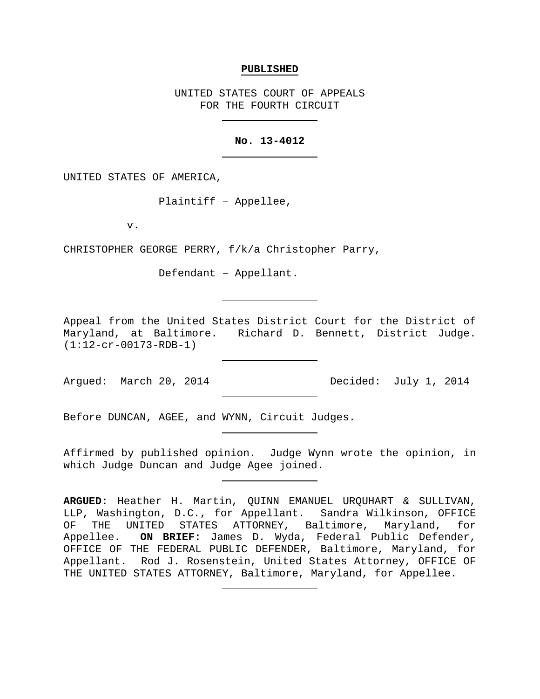#### **PUBLISHED**

UNITED STATES COURT OF APPEALS FOR THE FOURTH CIRCUIT

# **No. 13-4012**

UNITED STATES OF AMERICA,

Plaintiff – Appellee,

v.

CHRISTOPHER GEORGE PERRY, f/k/a Christopher Parry,

Defendant – Appellant.

Appeal from the United States District Court for the District of Maryland, at Baltimore. Richard D. Bennett, District Judge. (1:12-cr-00173-RDB-1)

Argued: March 20, 2014 Decided: July 1, 2014

Before DUNCAN, AGEE, and WYNN, Circuit Judges.

Affirmed by published opinion. Judge Wynn wrote the opinion, in which Judge Duncan and Judge Agee joined.

**ARGUED:** Heather H. Martin, QUINN EMANUEL URQUHART & SULLIVAN, LLP, Washington, D.C., for Appellant. Sandra Wilkinson, OFFICE OF THE UNITED STATES ATTORNEY, Baltimore, Maryland, for Appellee. **ON BRIEF:** James D. Wyda, Federal Public Defender, OFFICE OF THE FEDERAL PUBLIC DEFENDER, Baltimore, Maryland, for Appellant. Rod J. Rosenstein, United States Attorney, OFFICE OF THE UNITED STATES ATTORNEY, Baltimore, Maryland, for Appellee.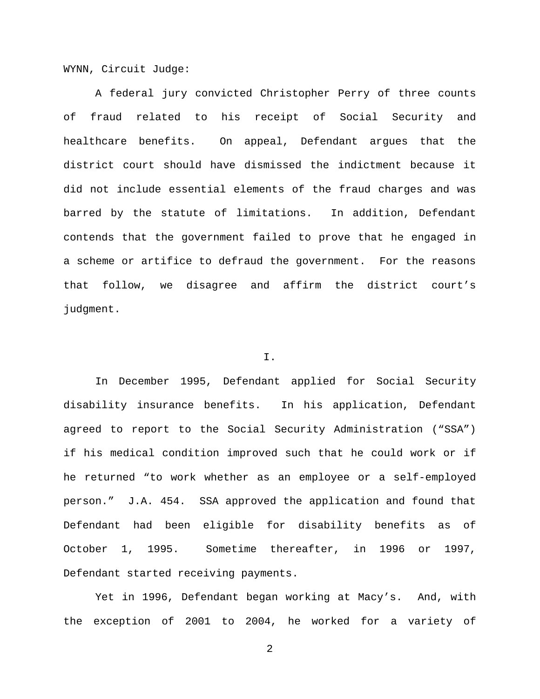WYNN, Circuit Judge:

A federal jury convicted Christopher Perry of three counts of fraud related to his receipt of Social Security and healthcare benefits. On appeal, Defendant argues that the district court should have dismissed the indictment because it did not include essential elements of the fraud charges and was barred by the statute of limitations. In addition, Defendant contends that the government failed to prove that he engaged in a scheme or artifice to defraud the government. For the reasons that follow, we disagree and affirm the district court's judgment.

# I.

In December 1995, Defendant applied for Social Security disability insurance benefits. In his application, Defendant agreed to report to the Social Security Administration ("SSA") if his medical condition improved such that he could work or if he returned "to work whether as an employee or a self-employed person." J.A. 454. SSA approved the application and found that Defendant had been eligible for disability benefits as of October 1, 1995. Sometime thereafter, in 1996 or 1997, Defendant started receiving payments.

Yet in 1996, Defendant began working at Macy's. And, with the exception of 2001 to 2004, he worked for a variety of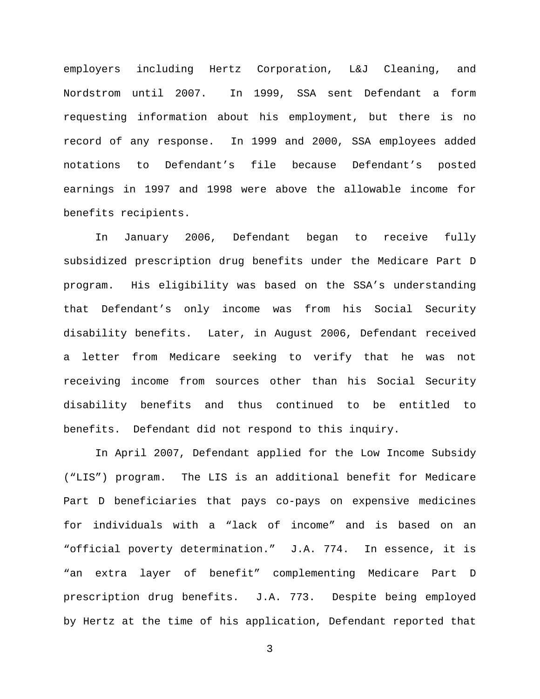employers including Hertz Corporation, L&J Cleaning, and Nordstrom until 2007. In 1999, SSA sent Defendant a form requesting information about his employment, but there is no record of any response. In 1999 and 2000, SSA employees added notations to Defendant's file because Defendant's posted earnings in 1997 and 1998 were above the allowable income for benefits recipients.

In January 2006, Defendant began to receive fully subsidized prescription drug benefits under the Medicare Part D program. His eligibility was based on the SSA's understanding that Defendant's only income was from his Social Security disability benefits. Later, in August 2006, Defendant received a letter from Medicare seeking to verify that he was not receiving income from sources other than his Social Security disability benefits and thus continued to be entitled to benefits. Defendant did not respond to this inquiry.

In April 2007, Defendant applied for the Low Income Subsidy ("LIS") program. The LIS is an additional benefit for Medicare Part D beneficiaries that pays co-pays on expensive medicines for individuals with a "lack of income" and is based on an "official poverty determination." J.A. 774. In essence, it is "an extra layer of benefit" complementing Medicare Part D prescription drug benefits. J.A. 773. Despite being employed by Hertz at the time of his application, Defendant reported that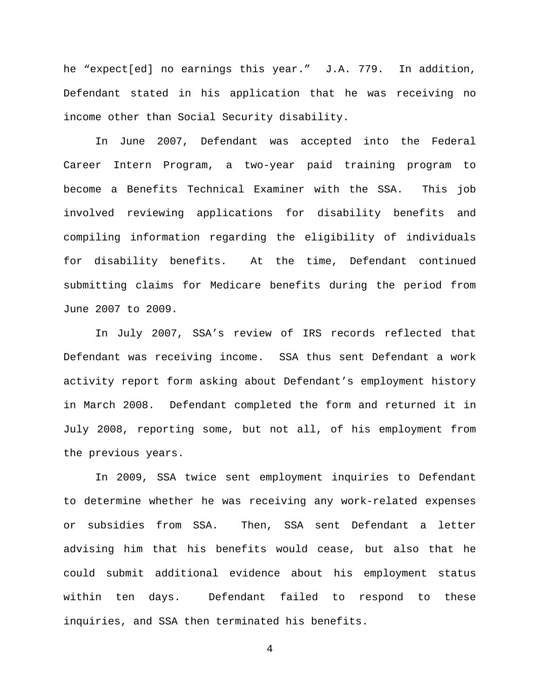he "expect[ed] no earnings this year." J.A. 779. In addition, Defendant stated in his application that he was receiving no income other than Social Security disability.

In June 2007, Defendant was accepted into the Federal Career Intern Program, a two-year paid training program to become a Benefits Technical Examiner with the SSA. This job involved reviewing applications for disability benefits and compiling information regarding the eligibility of individuals for disability benefits. At the time, Defendant continued submitting claims for Medicare benefits during the period from June 2007 to 2009.

In July 2007, SSA's review of IRS records reflected that Defendant was receiving income. SSA thus sent Defendant a work activity report form asking about Defendant's employment history in March 2008. Defendant completed the form and returned it in July 2008, reporting some, but not all, of his employment from the previous years.

In 2009, SSA twice sent employment inquiries to Defendant to determine whether he was receiving any work-related expenses or subsidies from SSA. Then, SSA sent Defendant a letter advising him that his benefits would cease, but also that he could submit additional evidence about his employment status within ten days. Defendant failed to respond to these inquiries, and SSA then terminated his benefits.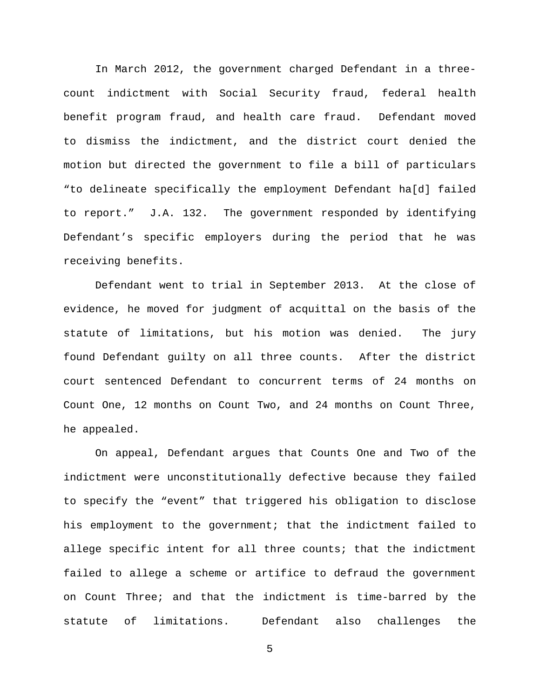In March 2012, the government charged Defendant in a threecount indictment with Social Security fraud, federal health benefit program fraud, and health care fraud. Defendant moved to dismiss the indictment, and the district court denied the motion but directed the government to file a bill of particulars "to delineate specifically the employment Defendant ha[d] failed to report." J.A. 132. The government responded by identifying Defendant's specific employers during the period that he was receiving benefits.

Defendant went to trial in September 2013. At the close of evidence, he moved for judgment of acquittal on the basis of the statute of limitations, but his motion was denied. The jury found Defendant guilty on all three counts. After the district court sentenced Defendant to concurrent terms of 24 months on Count One, 12 months on Count Two, and 24 months on Count Three, he appealed.

On appeal, Defendant argues that Counts One and Two of the indictment were unconstitutionally defective because they failed to specify the "event" that triggered his obligation to disclose his employment to the government; that the indictment failed to allege specific intent for all three counts; that the indictment failed to allege a scheme or artifice to defraud the government on Count Three; and that the indictment is time-barred by the statute of limitations. Defendant also challenges the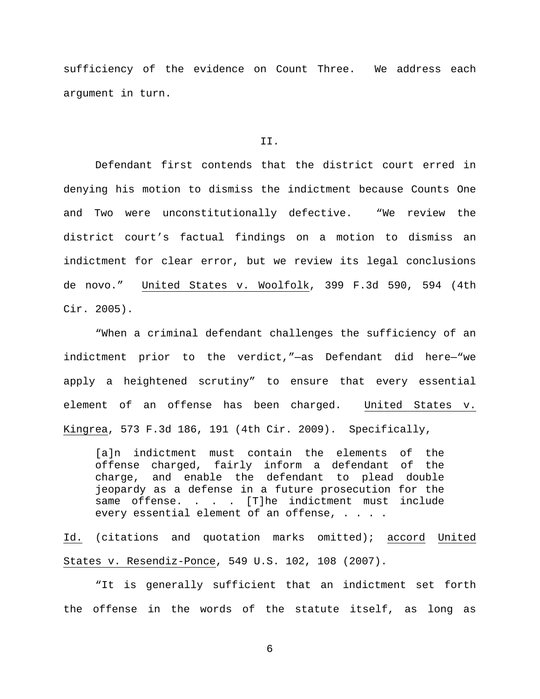sufficiency of the evidence on Count Three. We address each argument in turn.

### II.

Defendant first contends that the district court erred in denying his motion to dismiss the indictment because Counts One and Two were unconstitutionally defective. "We review the district court's factual findings on a motion to dismiss an indictment for clear error, but we review its legal conclusions de novo." United States v. Woolfolk, 399 F.3d 590, 594 (4th Cir. 2005).

"When a criminal defendant challenges the sufficiency of an indictment prior to the verdict,"—as Defendant did here—"we apply a heightened scrutiny" to ensure that every essential element of an offense has been charged. United States v. Kingrea, 573 F.3d 186, 191 (4th Cir. 2009). Specifically,

[a]n indictment must contain the elements of the offense charged, fairly inform a defendant of the charge, and enable the defendant to plead double jeopardy as a defense in a future prosecution for the same offense. . . . [T]he indictment must include every essential element of an offense, . . . .

Id. (citations and quotation marks omitted); accord United States v. Resendiz-Ponce, 549 U.S. 102, 108 (2007).

"It is generally sufficient that an indictment set forth the offense in the words of the statute itself, as long as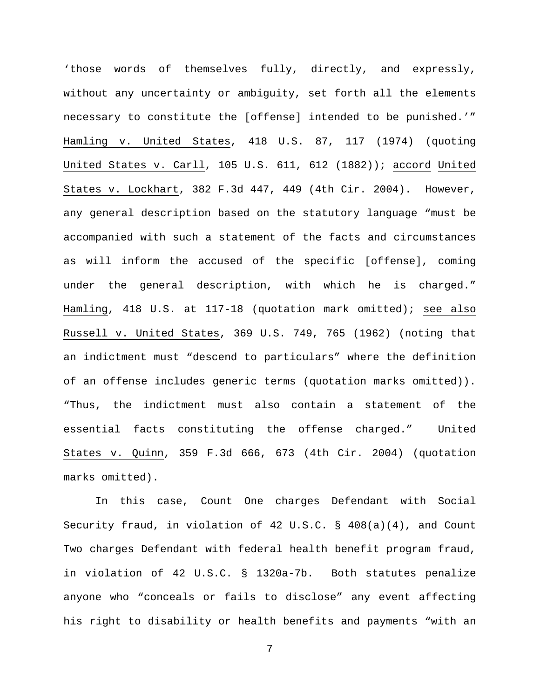'those words of themselves fully, directly, and expressly, without any uncertainty or ambiguity, set forth all the elements necessary to constitute the [offense] intended to be punished.'" Hamling v. United States, 418 U.S. 87, 117 (1974) (quoting United States v. Carll, 105 U.S. 611, 612 (1882)); accord United States v. Lockhart, 382 F.3d 447, 449 (4th Cir. 2004). However, any general description based on the statutory language "must be accompanied with such a statement of the facts and circumstances as will inform the accused of the specific [offense], coming under the general description, with which he is charged." Hamling, 418 U.S. at 117-18 (quotation mark omitted); see also Russell v. United States, 369 U.S. 749, 765 (1962) (noting that an indictment must "descend to particulars" where the definition of an offense includes generic terms (quotation marks omitted)). "Thus, the indictment must also contain a statement of the essential facts constituting the offense charged." United States v. Quinn, 359 F.3d 666, 673 (4th Cir. 2004) (quotation marks omitted).

In this case, Count One charges Defendant with Social Security fraud, in violation of 42 U.S.C. § 408(a)(4), and Count Two charges Defendant with federal health benefit program fraud, in violation of 42 U.S.C. § 1320a-7b. Both statutes penalize anyone who "conceals or fails to disclose" any event affecting his right to disability or health benefits and payments "with an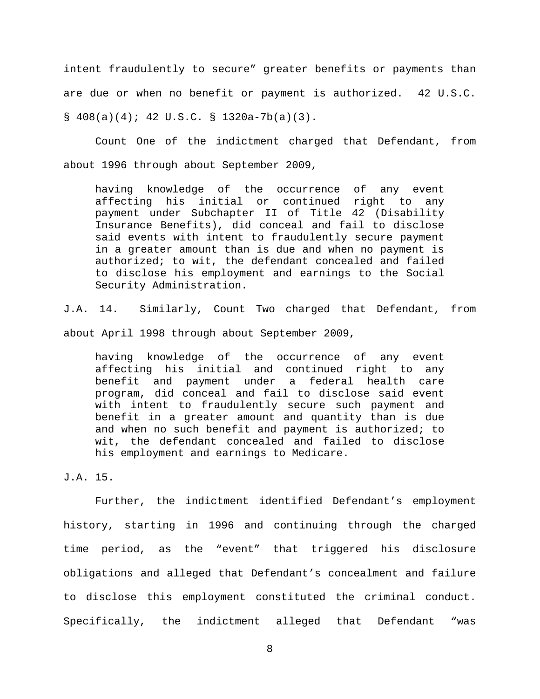intent fraudulently to secure" greater benefits or payments than are due or when no benefit or payment is authorized. 42 U.S.C.  $§ 408(a)(4); 42 U.S.C. § 1320a-7b(a)(3).$ 

Count One of the indictment charged that Defendant, from about 1996 through about September 2009,

having knowledge of the occurrence of any event affecting his initial or continued right to any payment under Subchapter II of Title 42 (Disability Insurance Benefits), did conceal and fail to disclose said events with intent to fraudulently secure payment in a greater amount than is due and when no payment is authorized; to wit, the defendant concealed and failed to disclose his employment and earnings to the Social Security Administration.

J.A. 14. Similarly, Count Two charged that Defendant, from about April 1998 through about September 2009,

having knowledge of the occurrence of any event affecting his initial and continued right to any benefit and payment under a federal health care program, did conceal and fail to disclose said event with intent to fraudulently secure such payment and benefit in a greater amount and quantity than is due and when no such benefit and payment is authorized; to wit, the defendant concealed and failed to disclose his employment and earnings to Medicare.

J.A. 15.

Further, the indictment identified Defendant's employment history, starting in 1996 and continuing through the charged time period, as the "event" that triggered his disclosure obligations and alleged that Defendant's concealment and failure to disclose this employment constituted the criminal conduct. Specifically, the indictment alleged that Defendant "was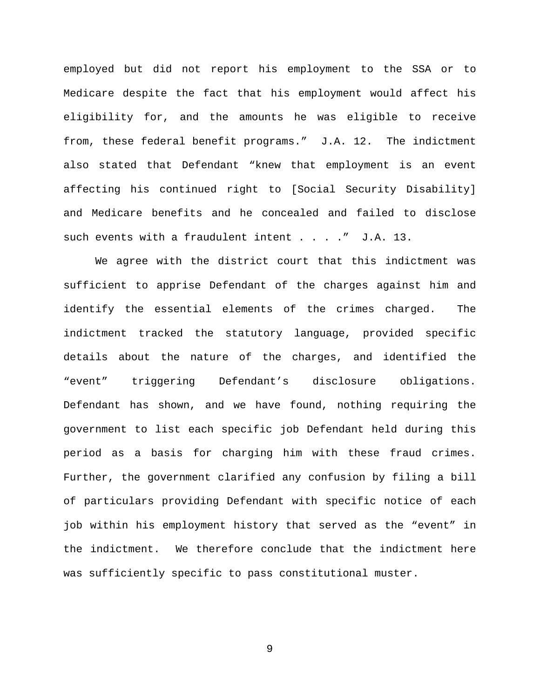employed but did not report his employment to the SSA or to Medicare despite the fact that his employment would affect his eligibility for, and the amounts he was eligible to receive from, these federal benefit programs." J.A. 12. The indictment also stated that Defendant "knew that employment is an event affecting his continued right to [Social Security Disability] and Medicare benefits and he concealed and failed to disclose such events with a fraudulent intent . . . . " J.A. 13.

We agree with the district court that this indictment was sufficient to apprise Defendant of the charges against him and identify the essential elements of the crimes charged. The indictment tracked the statutory language, provided specific details about the nature of the charges, and identified the "event" triggering Defendant's disclosure obligations. Defendant has shown, and we have found, nothing requiring the government to list each specific job Defendant held during this period as a basis for charging him with these fraud crimes. Further, the government clarified any confusion by filing a bill of particulars providing Defendant with specific notice of each job within his employment history that served as the "event" in the indictment. We therefore conclude that the indictment here was sufficiently specific to pass constitutional muster.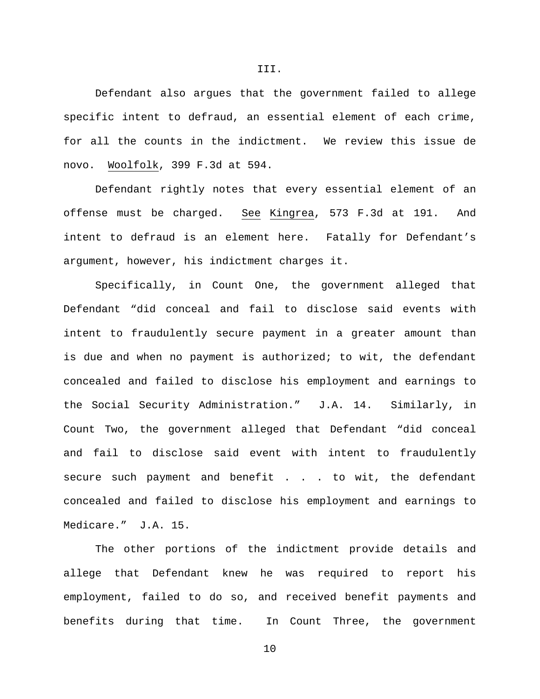Defendant also argues that the government failed to allege specific intent to defraud, an essential element of each crime, for all the counts in the indictment. We review this issue de novo. Woolfolk, 399 F.3d at 594.

Defendant rightly notes that every essential element of an offense must be charged. See Kingrea, 573 F.3d at 191. And intent to defraud is an element here. Fatally for Defendant's argument, however, his indictment charges it.

Specifically, in Count One, the government alleged that Defendant "did conceal and fail to disclose said events with intent to fraudulently secure payment in a greater amount than is due and when no payment is authorized; to wit, the defendant concealed and failed to disclose his employment and earnings to the Social Security Administration." J.A. 14. Similarly, in Count Two, the government alleged that Defendant "did conceal and fail to disclose said event with intent to fraudulently secure such payment and benefit . . . to wit, the defendant concealed and failed to disclose his employment and earnings to Medicare." J.A. 15.

The other portions of the indictment provide details and allege that Defendant knew he was required to report his employment, failed to do so, and received benefit payments and benefits during that time. In Count Three, the government

III.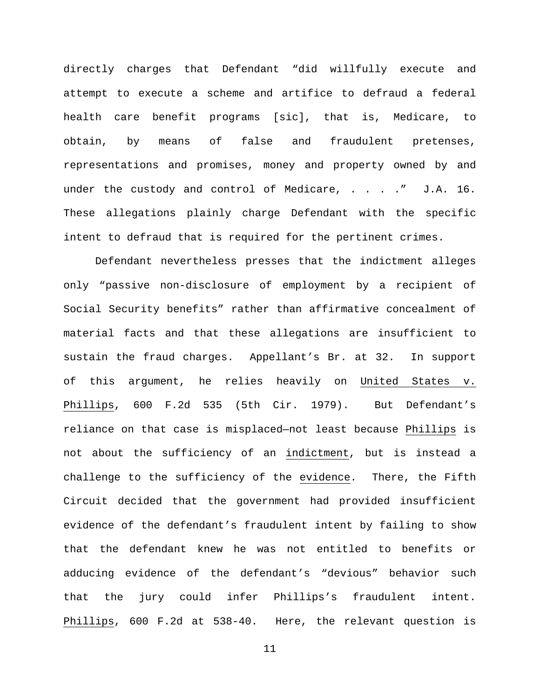directly charges that Defendant "did willfully execute and attempt to execute a scheme and artifice to defraud a federal health care benefit programs [sic], that is, Medicare, to obtain, by means of false and fraudulent pretenses, representations and promises, money and property owned by and under the custody and control of Medicare, . . . . " J.A. 16. These allegations plainly charge Defendant with the specific intent to defraud that is required for the pertinent crimes.

Defendant nevertheless presses that the indictment alleges only "passive non-disclosure of employment by a recipient of Social Security benefits" rather than affirmative concealment of material facts and that these allegations are insufficient to sustain the fraud charges. Appellant's Br. at 32. In support of this argument, he relies heavily on United States v. Phillips, 600 F.2d 535 (5th Cir. 1979). But Defendant's reliance on that case is misplaced—not least because Phillips is not about the sufficiency of an indictment, but is instead a challenge to the sufficiency of the evidence. There, the Fifth Circuit decided that the government had provided insufficient evidence of the defendant's fraudulent intent by failing to show that the defendant knew he was not entitled to benefits or adducing evidence of the defendant's "devious" behavior such that the jury could infer Phillips's fraudulent intent. Phillips, 600 F.2d at 538-40. Here, the relevant question is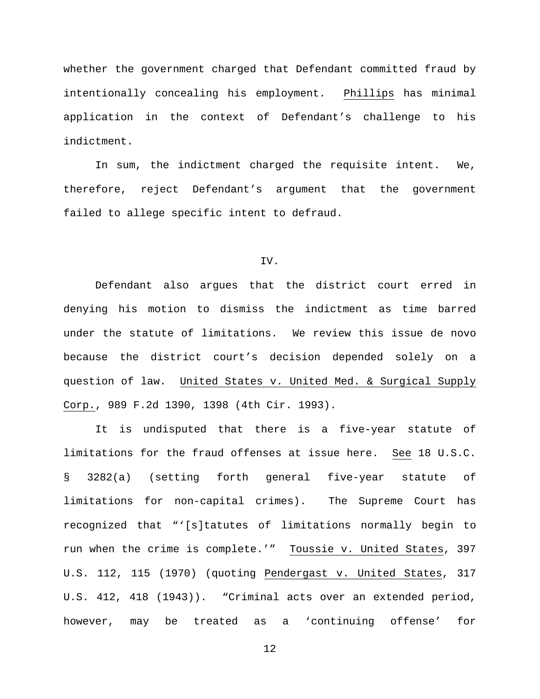whether the government charged that Defendant committed fraud by intentionally concealing his employment. Phillips has minimal application in the context of Defendant's challenge to his indictment.

In sum, the indictment charged the requisite intent. We, therefore, reject Defendant's argument that the government failed to allege specific intent to defraud.

### IV.

Defendant also argues that the district court erred in denying his motion to dismiss the indictment as time barred under the statute of limitations. We review this issue de novo because the district court's decision depended solely on a question of law. United States v. United Med. & Surgical Supply Corp., 989 F.2d 1390, 1398 (4th Cir. 1993).

It is undisputed that there is a five-year statute of limitations for the fraud offenses at issue here. See 18 U.S.C. § 3282(a) (setting forth general five-year statute of limitations for non-capital crimes). The Supreme Court has recognized that "'[s]tatutes of limitations normally begin to run when the crime is complete.'" Toussie v. United States, 397 U.S. 112, 115 (1970) (quoting Pendergast v. United States, 317 U.S. 412, 418 (1943)). "Criminal acts over an extended period, however, may be treated as a 'continuing offense' for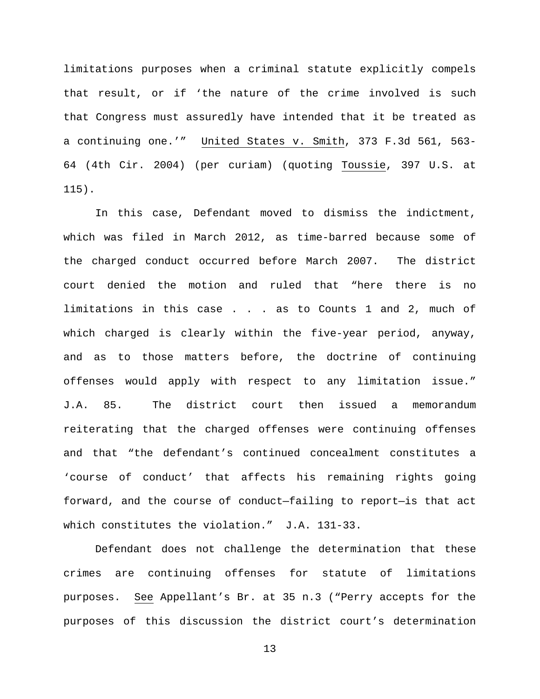limitations purposes when a criminal statute explicitly compels that result, or if 'the nature of the crime involved is such that Congress must assuredly have intended that it be treated as a continuing one.'" United States v. Smith, 373 F.3d 561, 563- 64 (4th Cir. 2004) (per curiam) (quoting Toussie, 397 U.S. at 115).

In this case, Defendant moved to dismiss the indictment, which was filed in March 2012, as time-barred because some of the charged conduct occurred before March 2007. The district court denied the motion and ruled that "here there is no limitations in this case . . . as to Counts 1 and 2, much of which charged is clearly within the five-year period, anyway, and as to those matters before, the doctrine of continuing offenses would apply with respect to any limitation issue." J.A. 85. The district court then issued a memorandum reiterating that the charged offenses were continuing offenses and that "the defendant's continued concealment constitutes a 'course of conduct' that affects his remaining rights going forward, and the course of conduct—failing to report—is that act which constitutes the violation." J.A. 131-33.

Defendant does not challenge the determination that these crimes are continuing offenses for statute of limitations purposes. See Appellant's Br. at 35 n.3 ("Perry accepts for the purposes of this discussion the district court's determination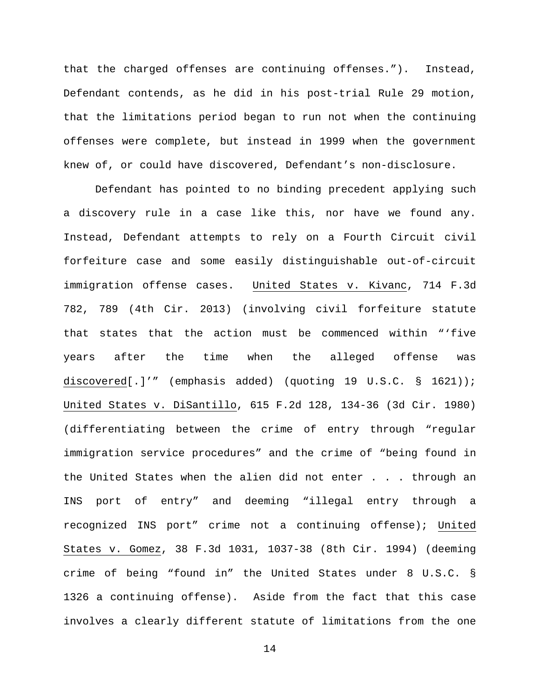that the charged offenses are continuing offenses."). Instead, Defendant contends, as he did in his post-trial Rule 29 motion, that the limitations period began to run not when the continuing offenses were complete, but instead in 1999 when the government knew of, or could have discovered, Defendant's non-disclosure.

Defendant has pointed to no binding precedent applying such a discovery rule in a case like this, nor have we found any. Instead, Defendant attempts to rely on a Fourth Circuit civil forfeiture case and some easily distinguishable out-of-circuit immigration offense cases. United States v. Kivanc, 714 F.3d 782, 789 (4th Cir. 2013) (involving civil forfeiture statute that states that the action must be commenced within "'five years after the time when the alleged offense was discovered[.]'" (emphasis added) (quoting 19 U.S.C. § 1621)); United States v. DiSantillo, 615 F.2d 128, 134-36 (3d Cir. 1980) (differentiating between the crime of entry through "regular immigration service procedures" and the crime of "being found in the United States when the alien did not enter . . . through an INS port of entry" and deeming "illegal entry through a recognized INS port" crime not a continuing offense); United States v. Gomez, 38 F.3d 1031, 1037-38 (8th Cir. 1994) (deeming crime of being "found in" the United States under 8 U.S.C. § 1326 a continuing offense). Aside from the fact that this case involves a clearly different statute of limitations from the one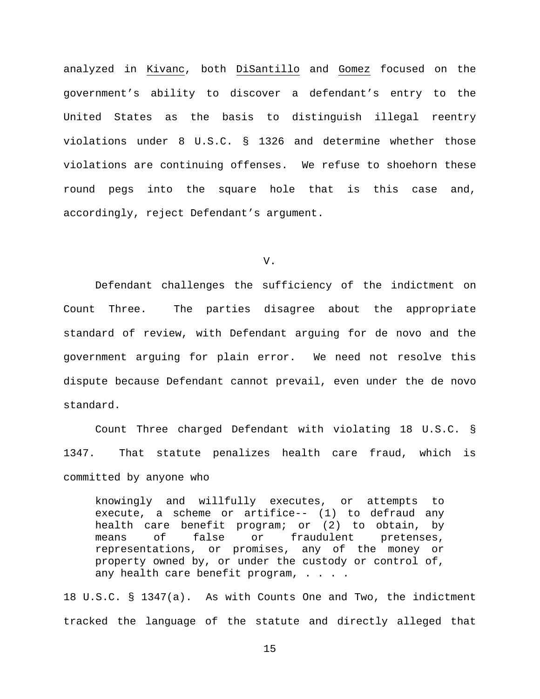analyzed in Kivanc, both DiSantillo and Gomez focused on the government's ability to discover a defendant's entry to the United States as the basis to distinguish illegal reentry violations under 8 U.S.C. § 1326 and determine whether those violations are continuing offenses. We refuse to shoehorn these round pegs into the square hole that is this case and, accordingly, reject Defendant's argument.

V.

Defendant challenges the sufficiency of the indictment on Count Three. The parties disagree about the appropriate standard of review, with Defendant arguing for de novo and the government arguing for plain error. We need not resolve this dispute because Defendant cannot prevail, even under the de novo standard.

Count Three charged Defendant with violating 18 U.S.C. § 1347. That statute penalizes health care fraud, which is committed by anyone who

knowingly and willfully executes, or attempts to execute, a scheme or artifice-- (1) to defraud any health care benefit program; or (2) to obtain, by means of false or fraudulent pretenses,<br>representations, or promises, any of the money or or promises, any of the money or property owned by, or under the custody or control of, any health care benefit program, . . . .

18 U.S.C. § 1347(a). As with Counts One and Two, the indictment tracked the language of the statute and directly alleged that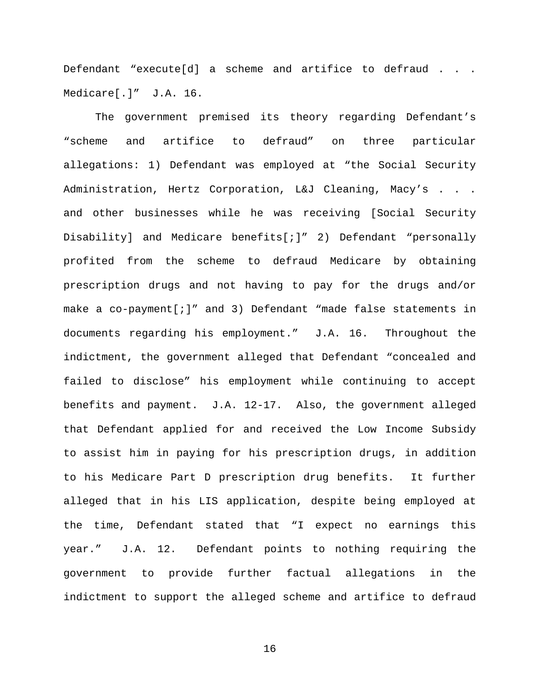Defendant "execute[d] a scheme and artifice to defraud . . . Medicare[.]" J.A. 16.

The government premised its theory regarding Defendant's "scheme and artifice to defraud" on three particular allegations: 1) Defendant was employed at "the Social Security Administration, Hertz Corporation, L&J Cleaning, Macy's . . . and other businesses while he was receiving [Social Security Disability] and Medicare benefits[;]" 2) Defendant "personally profited from the scheme to defraud Medicare by obtaining prescription drugs and not having to pay for the drugs and/or make a co-payment[;]" and 3) Defendant "made false statements in documents regarding his employment." J.A. 16. Throughout the indictment, the government alleged that Defendant "concealed and failed to disclose" his employment while continuing to accept benefits and payment. J.A. 12-17. Also, the government alleged that Defendant applied for and received the Low Income Subsidy to assist him in paying for his prescription drugs, in addition to his Medicare Part D prescription drug benefits. It further alleged that in his LIS application, despite being employed at the time, Defendant stated that "I expect no earnings this year." J.A. 12. Defendant points to nothing requiring the government to provide further factual allegations in the indictment to support the alleged scheme and artifice to defraud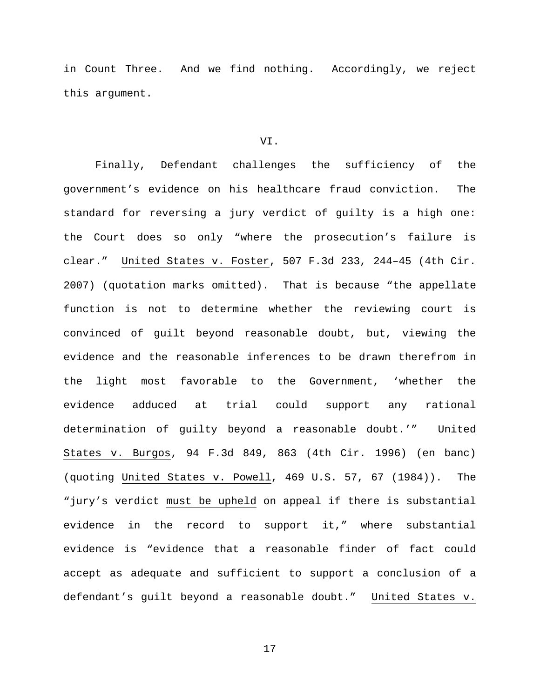in Count Three. And we find nothing. Accordingly, we reject this argument.

### VI.

Finally, Defendant challenges the sufficiency of the government's evidence on his healthcare fraud conviction. The standard for reversing a jury verdict of guilty is a high one: the Court does so only "where the prosecution's failure is clear." United States v. Foster, 507 F.3d 233, 244–45 (4th Cir. 2007) (quotation marks omitted). That is because "the appellate function is not to determine whether the reviewing court is convinced of guilt beyond reasonable doubt, but, viewing the evidence and the reasonable inferences to be drawn therefrom in the light most favorable to the Government, 'whether the evidence adduced at trial could support any rational determination of guilty beyond a reasonable doubt.'" United States v. Burgos, 94 F.3d 849, 863 (4th Cir. 1996) (en banc) (quoting United States v. Powell, 469 U.S. 57, 67 (1984)). The "jury's verdict must be upheld on appeal if there is substantial evidence in the record to support it," where substantial evidence is "evidence that a reasonable finder of fact could accept as adequate and sufficient to support a conclusion of a defendant's guilt beyond a reasonable doubt." United States v.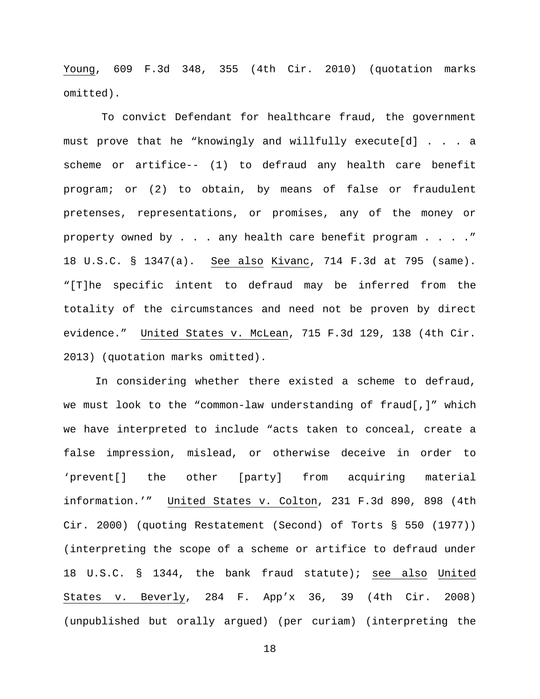Young, 609 F.3d 348, 355 (4th Cir. 2010) (quotation marks omitted).

To convict Defendant for healthcare fraud, the government must prove that he "knowingly and willfully execute[d] . . . a scheme or artifice-- (1) to defraud any health care benefit program; or (2) to obtain, by means of false or fraudulent pretenses, representations, or promises, any of the money or property owned by . . . any health care benefit program . . . ." 18 U.S.C. § 1347(a). See also Kivanc, 714 F.3d at 795 (same). "[T]he specific intent to defraud may be inferred from the totality of the circumstances and need not be proven by direct evidence." United States v. McLean, 715 F.3d 129, 138 (4th Cir. 2013) (quotation marks omitted).

In considering whether there existed a scheme to defraud, we must look to the "common-law understanding of fraud[,]" which we have interpreted to include "acts taken to conceal, create a false impression, mislead, or otherwise deceive in order to 'prevent[] the other [party] from acquiring material information.'" United States v. Colton, 231 F.3d 890, 898 (4th Cir. 2000) (quoting Restatement (Second) of Torts § 550 (1977)) (interpreting the scope of a scheme or artifice to defraud under 18 U.S.C. § 1344, the bank fraud statute); see also United States v. Beverly, 284 F. App'x 36, 39 (4th Cir. 2008) (unpublished but orally argued) (per curiam) (interpreting the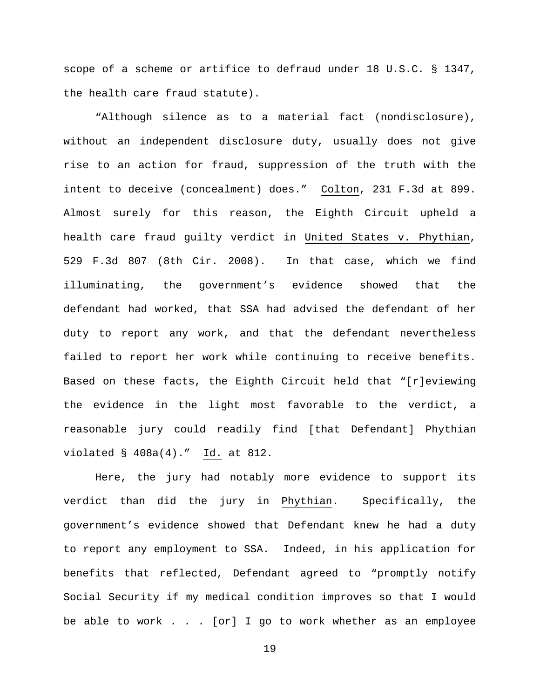scope of a scheme or artifice to defraud under 18 U.S.C. § 1347, the health care fraud statute).

"Although silence as to a material fact (nondisclosure), without an independent disclosure duty, usually does not give rise to an action for fraud, suppression of the truth with the intent to deceive (concealment) does." Colton, 231 F.3d at 899. Almost surely for this reason, the Eighth Circuit upheld a health care fraud guilty verdict in United States v. Phythian, 529 F.3d 807 (8th Cir. 2008). In that case, which we find illuminating, the government's evidence showed that the defendant had worked, that SSA had advised the defendant of her duty to report any work, and that the defendant nevertheless failed to report her work while continuing to receive benefits. Based on these facts, the Eighth Circuit held that "[r]eviewing the evidence in the light most favorable to the verdict, a reasonable jury could readily find [that Defendant] Phythian violated § 408a(4)." Id. at 812.

Here, the jury had notably more evidence to support its verdict than did the jury in Phythian. Specifically, the government's evidence showed that Defendant knew he had a duty to report any employment to SSA. Indeed, in his application for benefits that reflected, Defendant agreed to "promptly notify Social Security if my medical condition improves so that I would be able to work . . . [or] I go to work whether as an employee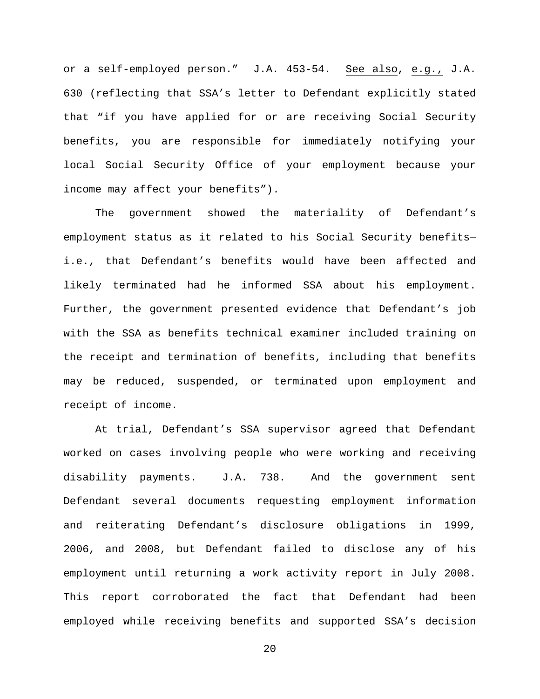or a self-employed person." J.A. 453-54. See also, e.g., J.A. 630 (reflecting that SSA's letter to Defendant explicitly stated that "if you have applied for or are receiving Social Security benefits, you are responsible for immediately notifying your local Social Security Office of your employment because your income may affect your benefits").

The government showed the materiality of Defendant's employment status as it related to his Social Security benefits i.e., that Defendant's benefits would have been affected and likely terminated had he informed SSA about his employment. Further, the government presented evidence that Defendant's job with the SSA as benefits technical examiner included training on the receipt and termination of benefits, including that benefits may be reduced, suspended, or terminated upon employment and receipt of income.

At trial, Defendant's SSA supervisor agreed that Defendant worked on cases involving people who were working and receiving disability payments. J.A. 738. And the government sent Defendant several documents requesting employment information and reiterating Defendant's disclosure obligations in 1999, 2006, and 2008, but Defendant failed to disclose any of his employment until returning a work activity report in July 2008. This report corroborated the fact that Defendant had been employed while receiving benefits and supported SSA's decision